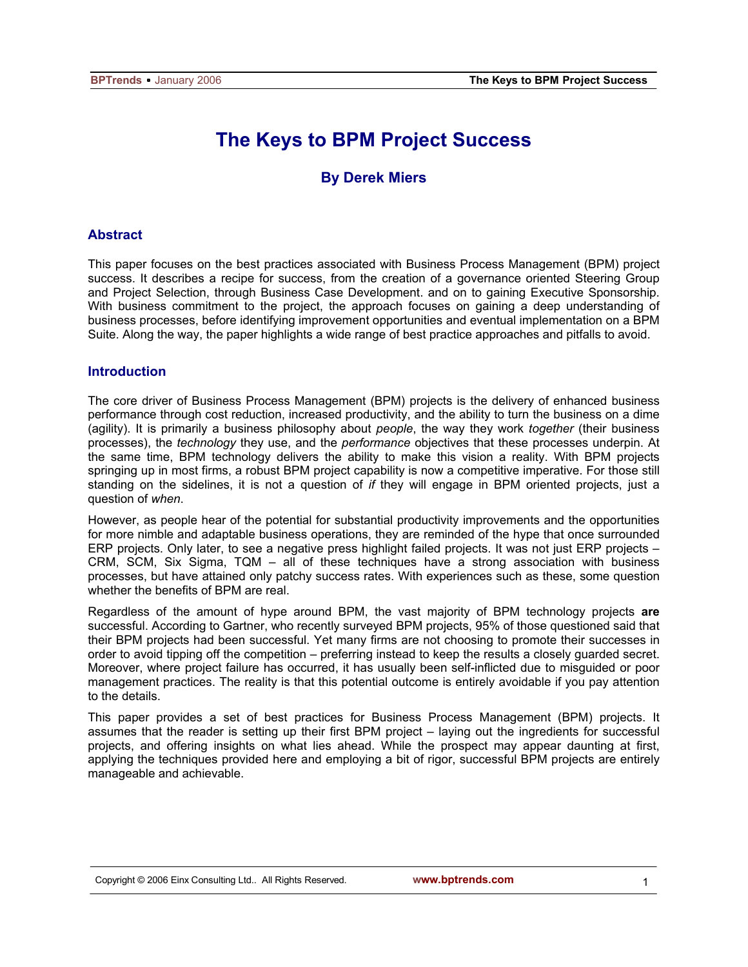# **The Keys to BPM Project Success**

## **By Derek Miers**

## **Abstract**

This paper focuses on the best practices associated with Business Process Management (BPM) project success. It describes a recipe for success, from the creation of a governance oriented Steering Group and Project Selection, through Business Case Development. and on to gaining Executive Sponsorship. With business commitment to the project, the approach focuses on gaining a deep understanding of business processes, before identifying improvement opportunities and eventual implementation on a BPM Suite. Along the way, the paper highlights a wide range of best practice approaches and pitfalls to avoid.

## **Introduction**

The core driver of Business Process Management (BPM) projects is the delivery of enhanced business performance through cost reduction, increased productivity, and the ability to turn the business on a dime (agility). It is primarily a business philosophy about *people*, the way they work *together* (their business processes), the *technology* they use, and the *performance* objectives that these processes underpin. At the same time, BPM technology delivers the ability to make this vision a reality. With BPM projects springing up in most firms, a robust BPM project capability is now a competitive imperative. For those still standing on the sidelines, it is not a question of *if* they will engage in BPM oriented projects, just a question of *when*.

However, as people hear of the potential for substantial productivity improvements and the opportunities for more nimble and adaptable business operations, they are reminded of the hype that once surrounded ERP projects. Only later, to see a negative press highlight failed projects. It was not just ERP projects – CRM, SCM, Six Sigma, TQM – all of these techniques have a strong association with business processes, but have attained only patchy success rates. With experiences such as these, some question whether the benefits of BPM are real.

Regardless of the amount of hype around BPM, the vast majority of BPM technology projects **are** successful. According to Gartner, who recently surveyed BPM projects, 95% of those questioned said that their BPM projects had been successful. Yet many firms are not choosing to promote their successes in order to avoid tipping off the competition – preferring instead to keep the results a closely guarded secret. Moreover, where project failure has occurred, it has usually been self-inflicted due to misguided or poor management practices. The reality is that this potential outcome is entirely avoidable if you pay attention to the details.

This paper provides a set of best practices for Business Process Management (BPM) projects. It assumes that the reader is setting up their first BPM project – laying out the ingredients for successful projects, and offering insights on what lies ahead. While the prospect may appear daunting at first, applying the techniques provided here and employing a bit of rigor, successful BPM projects are entirely manageable and achievable.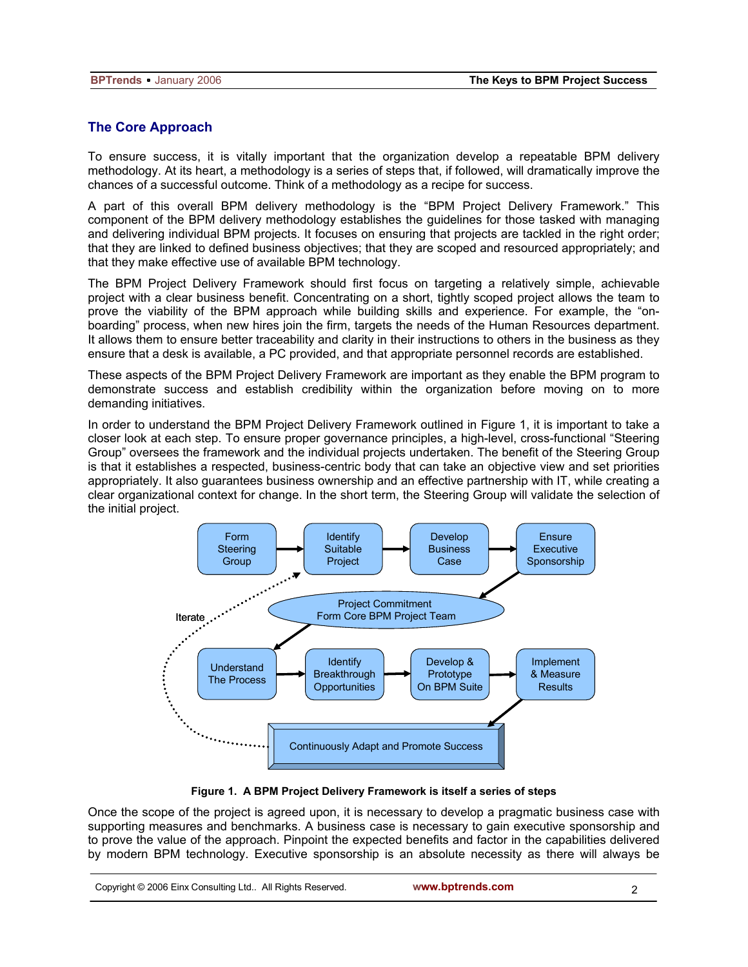## **The Core Approach**

To ensure success, it is vitally important that the organization develop a repeatable BPM delivery methodology. At its heart, a methodology is a series of steps that, if followed, will dramatically improve the chances of a successful outcome. Think of a methodology as a recipe for success.

A part of this overall BPM delivery methodology is the "BPM Project Delivery Framework." This component of the BPM delivery methodology establishes the guidelines for those tasked with managing and delivering individual BPM projects. It focuses on ensuring that projects are tackled in the right order; that they are linked to defined business objectives; that they are scoped and resourced appropriately; and that they make effective use of available BPM technology.

The BPM Project Delivery Framework should first focus on targeting a relatively simple, achievable project with a clear business benefit. Concentrating on a short, tightly scoped project allows the team to prove the viability of the BPM approach while building skills and experience. For example, the "onboarding" process, when new hires join the firm, targets the needs of the Human Resources department. It allows them to ensure better traceability and clarity in their instructions to others in the business as they ensure that a desk is available, a PC provided, and that appropriate personnel records are established.

These aspects of the BPM Project Delivery Framework are important as they enable the BPM program to demonstrate success and establish credibility within the organization before moving on to more demanding initiatives.

In order to understand the BPM Project Delivery Framework outlined in Figure 1, it is important to take a closer look at each step. To ensure proper governance principles, a high-level, cross-functional "Steering Group" oversees the framework and the individual projects undertaken. The benefit of the Steering Group is that it establishes a respected, business-centric body that can take an objective view and set priorities appropriately. It also guarantees business ownership and an effective partnership with IT, while creating a clear organizational context for change. In the short term, the Steering Group will validate the selection of the initial project.



**Figure 1. A BPM Project Delivery Framework is itself a series of steps** 

Once the scope of the project is agreed upon, it is necessary to develop a pragmatic business case with supporting measures and benchmarks. A business case is necessary to gain executive sponsorship and to prove the value of the approach. Pinpoint the expected benefits and factor in the capabilities delivered by modern BPM technology. Executive sponsorship is an absolute necessity as there will always be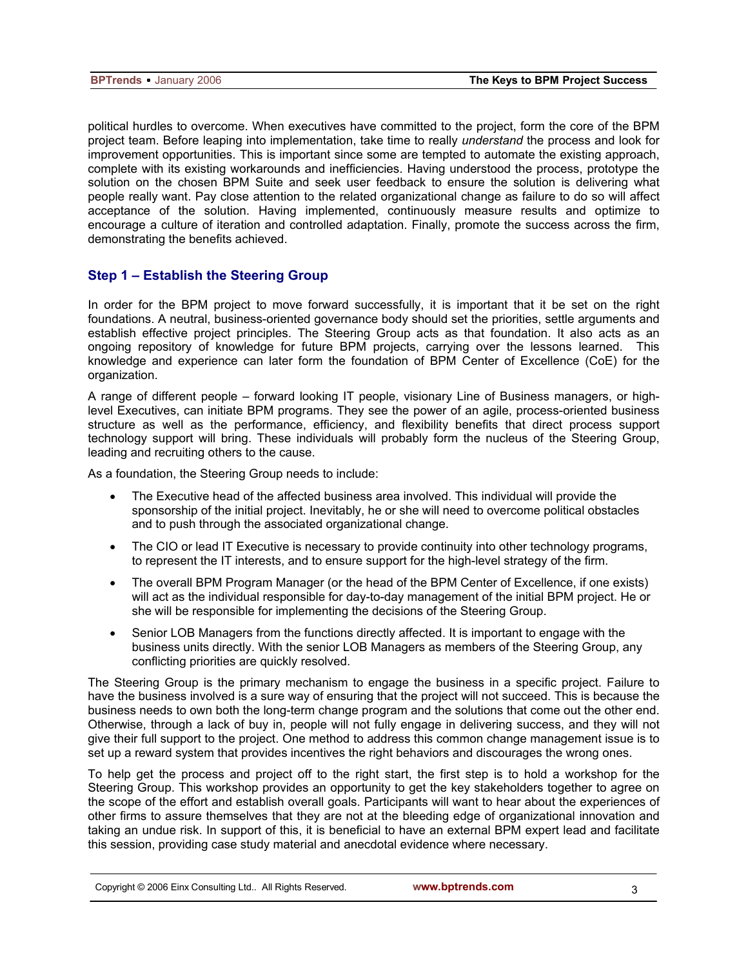political hurdles to overcome. When executives have committed to the project, form the core of the BPM project team. Before leaping into implementation, take time to really *understand* the process and look for improvement opportunities. This is important since some are tempted to automate the existing approach, complete with its existing workarounds and inefficiencies. Having understood the process, prototype the solution on the chosen BPM Suite and seek user feedback to ensure the solution is delivering what people really want. Pay close attention to the related organizational change as failure to do so will affect acceptance of the solution. Having implemented, continuously measure results and optimize to encourage a culture of iteration and controlled adaptation. Finally, promote the success across the firm, demonstrating the benefits achieved.

## **Step 1 – Establish the Steering Group**

In order for the BPM project to move forward successfully, it is important that it be set on the right foundations. A neutral, business-oriented governance body should set the priorities, settle arguments and establish effective project principles. The Steering Group acts as that foundation. It also acts as an ongoing repository of knowledge for future BPM projects, carrying over the lessons learned. This knowledge and experience can later form the foundation of BPM Center of Excellence (CoE) for the organization.

A range of different people – forward looking IT people, visionary Line of Business managers, or highlevel Executives, can initiate BPM programs. They see the power of an agile, process-oriented business structure as well as the performance, efficiency, and flexibility benefits that direct process support technology support will bring. These individuals will probably form the nucleus of the Steering Group, leading and recruiting others to the cause.

As a foundation, the Steering Group needs to include:

- The Executive head of the affected business area involved. This individual will provide the sponsorship of the initial project. Inevitably, he or she will need to overcome political obstacles and to push through the associated organizational change.
- The CIO or lead IT Executive is necessary to provide continuity into other technology programs, to represent the IT interests, and to ensure support for the high-level strategy of the firm.
- The overall BPM Program Manager (or the head of the BPM Center of Excellence, if one exists) will act as the individual responsible for day-to-day management of the initial BPM project. He or she will be responsible for implementing the decisions of the Steering Group.
- Senior LOB Managers from the functions directly affected. It is important to engage with the business units directly. With the senior LOB Managers as members of the Steering Group, any conflicting priorities are quickly resolved.

The Steering Group is the primary mechanism to engage the business in a specific project. Failure to have the business involved is a sure way of ensuring that the project will not succeed. This is because the business needs to own both the long-term change program and the solutions that come out the other end. Otherwise, through a lack of buy in, people will not fully engage in delivering success, and they will not give their full support to the project. One method to address this common change management issue is to set up a reward system that provides incentives the right behaviors and discourages the wrong ones.

To help get the process and project off to the right start, the first step is to hold a workshop for the Steering Group. This workshop provides an opportunity to get the key stakeholders together to agree on the scope of the effort and establish overall goals. Participants will want to hear about the experiences of other firms to assure themselves that they are not at the bleeding edge of organizational innovation and taking an undue risk. In support of this, it is beneficial to have an external BPM expert lead and facilitate this session, providing case study material and anecdotal evidence where necessary.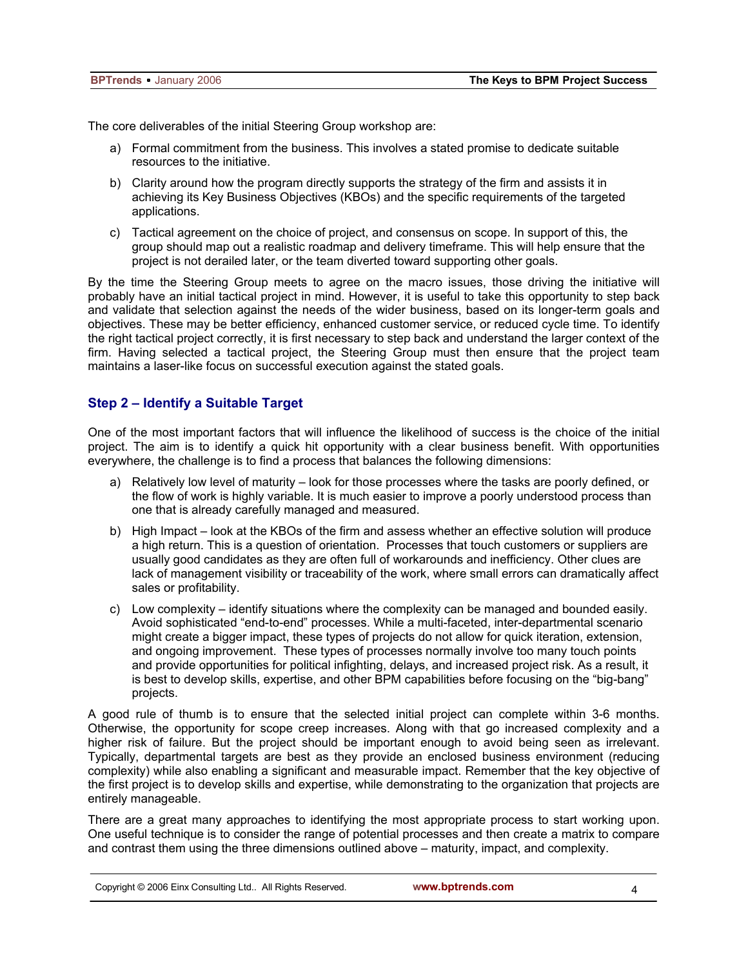The core deliverables of the initial Steering Group workshop are:

- a) Formal commitment from the business. This involves a stated promise to dedicate suitable resources to the initiative.
- b) Clarity around how the program directly supports the strategy of the firm and assists it in achieving its Key Business Objectives (KBOs) and the specific requirements of the targeted applications.
- c) Tactical agreement on the choice of project, and consensus on scope. In support of this, the group should map out a realistic roadmap and delivery timeframe. This will help ensure that the project is not derailed later, or the team diverted toward supporting other goals.

By the time the Steering Group meets to agree on the macro issues, those driving the initiative will probably have an initial tactical project in mind. However, it is useful to take this opportunity to step back and validate that selection against the needs of the wider business, based on its longer-term goals and objectives. These may be better efficiency, enhanced customer service, or reduced cycle time. To identify the right tactical project correctly, it is first necessary to step back and understand the larger context of the firm. Having selected a tactical project, the Steering Group must then ensure that the project team maintains a laser-like focus on successful execution against the stated goals.

## **Step 2 – Identify a Suitable Target**

One of the most important factors that will influence the likelihood of success is the choice of the initial project. The aim is to identify a quick hit opportunity with a clear business benefit. With opportunities everywhere, the challenge is to find a process that balances the following dimensions:

- a) Relatively low level of maturity look for those processes where the tasks are poorly defined, or the flow of work is highly variable. It is much easier to improve a poorly understood process than one that is already carefully managed and measured.
- b) High Impact look at the KBOs of the firm and assess whether an effective solution will produce a high return. This is a question of orientation. Processes that touch customers or suppliers are usually good candidates as they are often full of workarounds and inefficiency. Other clues are lack of management visibility or traceability of the work, where small errors can dramatically affect sales or profitability.
- c) Low complexity identify situations where the complexity can be managed and bounded easily. Avoid sophisticated "end-to-end" processes. While a multi-faceted, inter-departmental scenario might create a bigger impact, these types of projects do not allow for quick iteration, extension, and ongoing improvement. These types of processes normally involve too many touch points and provide opportunities for political infighting, delays, and increased project risk. As a result, it is best to develop skills, expertise, and other BPM capabilities before focusing on the "big-bang" projects.

A good rule of thumb is to ensure that the selected initial project can complete within 3-6 months. Otherwise, the opportunity for scope creep increases. Along with that go increased complexity and a higher risk of failure. But the project should be important enough to avoid being seen as irrelevant. Typically, departmental targets are best as they provide an enclosed business environment (reducing complexity) while also enabling a significant and measurable impact. Remember that the key objective of the first project is to develop skills and expertise, while demonstrating to the organization that projects are entirely manageable.

There are a great many approaches to identifying the most appropriate process to start working upon. One useful technique is to consider the range of potential processes and then create a matrix to compare and contrast them using the three dimensions outlined above – maturity, impact, and complexity.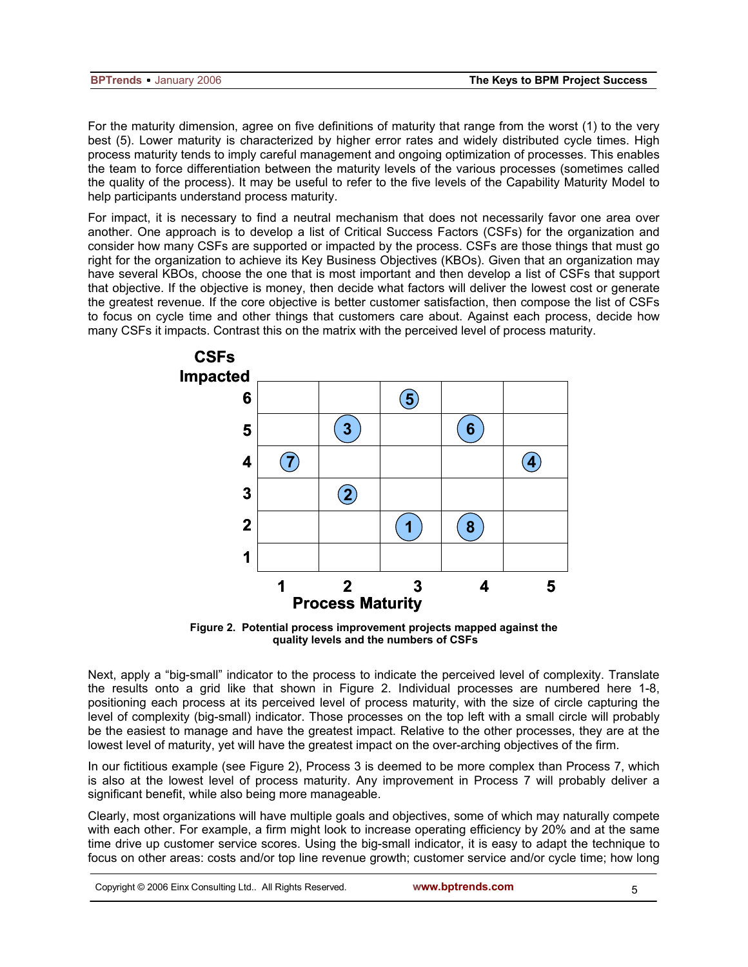| <b>BPTrends</b> - January 2006 | The Keys to BPM Project Success |
|--------------------------------|---------------------------------|
|                                |                                 |

For the maturity dimension, agree on five definitions of maturity that range from the worst (1) to the very best (5). Lower maturity is characterized by higher error rates and widely distributed cycle times. High process maturity tends to imply careful management and ongoing optimization of processes. This enables the team to force differentiation between the maturity levels of the various processes (sometimes called the quality of the process). It may be useful to refer to the five levels of the Capability Maturity Model to help participants understand process maturity.

For impact, it is necessary to find a neutral mechanism that does not necessarily favor one area over another. One approach is to develop a list of Critical Success Factors (CSFs) for the organization and consider how many CSFs are supported or impacted by the process. CSFs are those things that must go right for the organization to achieve its Key Business Objectives (KBOs). Given that an organization may have several KBOs, choose the one that is most important and then develop a list of CSFs that support that objective. If the objective is money, then decide what factors will deliver the lowest cost or generate the greatest revenue. If the core objective is better customer satisfaction, then compose the list of CSFs to focus on cycle time and other things that customers care about. Against each process, decide how many CSFs it impacts. Contrast this on the matrix with the perceived level of process maturity.



**Figure 2. Potential process improvement projects mapped against the quality levels and the numbers of CSFs** 

Next, apply a "big-small" indicator to the process to indicate the perceived level of complexity. Translate the results onto a grid like that shown in Figure 2. Individual processes are numbered here 1-8, positioning each process at its perceived level of process maturity, with the size of circle capturing the level of complexity (big-small) indicator. Those processes on the top left with a small circle will probably be the easiest to manage and have the greatest impact. Relative to the other processes, they are at the lowest level of maturity, yet will have the greatest impact on the over-arching objectives of the firm.

In our fictitious example (see Figure 2), Process 3 is deemed to be more complex than Process 7, which is also at the lowest level of process maturity. Any improvement in Process 7 will probably deliver a significant benefit, while also being more manageable.

Clearly, most organizations will have multiple goals and objectives, some of which may naturally compete with each other. For example, a firm might look to increase operating efficiency by 20% and at the same time drive up customer service scores. Using the big-small indicator, it is easy to adapt the technique to focus on other areas: costs and/or top line revenue growth; customer service and/or cycle time; how long

| Copyright © 2006 Einx Consulting Ltd All Rights Reserved. |  |
|-----------------------------------------------------------|--|
|-----------------------------------------------------------|--|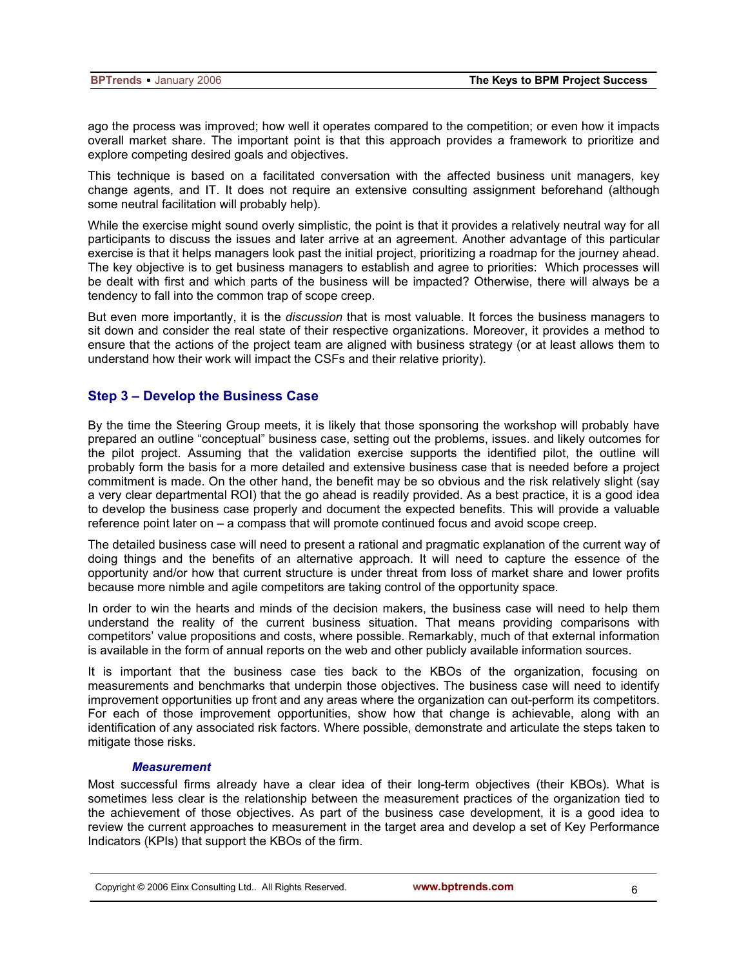ago the process was improved; how well it operates compared to the competition; or even how it impacts overall market share. The important point is that this approach provides a framework to prioritize and explore competing desired goals and objectives.

This technique is based on a facilitated conversation with the affected business unit managers, key change agents, and IT. It does not require an extensive consulting assignment beforehand (although some neutral facilitation will probably help).

While the exercise might sound overly simplistic, the point is that it provides a relatively neutral way for all participants to discuss the issues and later arrive at an agreement. Another advantage of this particular exercise is that it helps managers look past the initial project, prioritizing a roadmap for the journey ahead. The key objective is to get business managers to establish and agree to priorities: Which processes will be dealt with first and which parts of the business will be impacted? Otherwise, there will always be a tendency to fall into the common trap of scope creep.

But even more importantly, it is the *discussion* that is most valuable. It forces the business managers to sit down and consider the real state of their respective organizations. Moreover, it provides a method to ensure that the actions of the project team are aligned with business strategy (or at least allows them to understand how their work will impact the CSFs and their relative priority).

## **Step 3 – Develop the Business Case**

By the time the Steering Group meets, it is likely that those sponsoring the workshop will probably have prepared an outline "conceptual" business case, setting out the problems, issues. and likely outcomes for the pilot project. Assuming that the validation exercise supports the identified pilot, the outline will probably form the basis for a more detailed and extensive business case that is needed before a project commitment is made. On the other hand, the benefit may be so obvious and the risk relatively slight (say a very clear departmental ROI) that the go ahead is readily provided. As a best practice, it is a good idea to develop the business case properly and document the expected benefits. This will provide a valuable reference point later on – a compass that will promote continued focus and avoid scope creep.

The detailed business case will need to present a rational and pragmatic explanation of the current way of doing things and the benefits of an alternative approach. It will need to capture the essence of the opportunity and/or how that current structure is under threat from loss of market share and lower profits because more nimble and agile competitors are taking control of the opportunity space.

In order to win the hearts and minds of the decision makers, the business case will need to help them understand the reality of the current business situation. That means providing comparisons with competitors' value propositions and costs, where possible. Remarkably, much of that external information is available in the form of annual reports on the web and other publicly available information sources.

It is important that the business case ties back to the KBOs of the organization, focusing on measurements and benchmarks that underpin those objectives. The business case will need to identify improvement opportunities up front and any areas where the organization can out-perform its competitors. For each of those improvement opportunities, show how that change is achievable, along with an identification of any associated risk factors. Where possible, demonstrate and articulate the steps taken to mitigate those risks.

#### *Measurement*

Most successful firms already have a clear idea of their long-term objectives (their KBOs). What is sometimes less clear is the relationship between the measurement practices of the organization tied to the achievement of those objectives. As part of the business case development, it is a good idea to review the current approaches to measurement in the target area and develop a set of Key Performance Indicators (KPIs) that support the KBOs of the firm.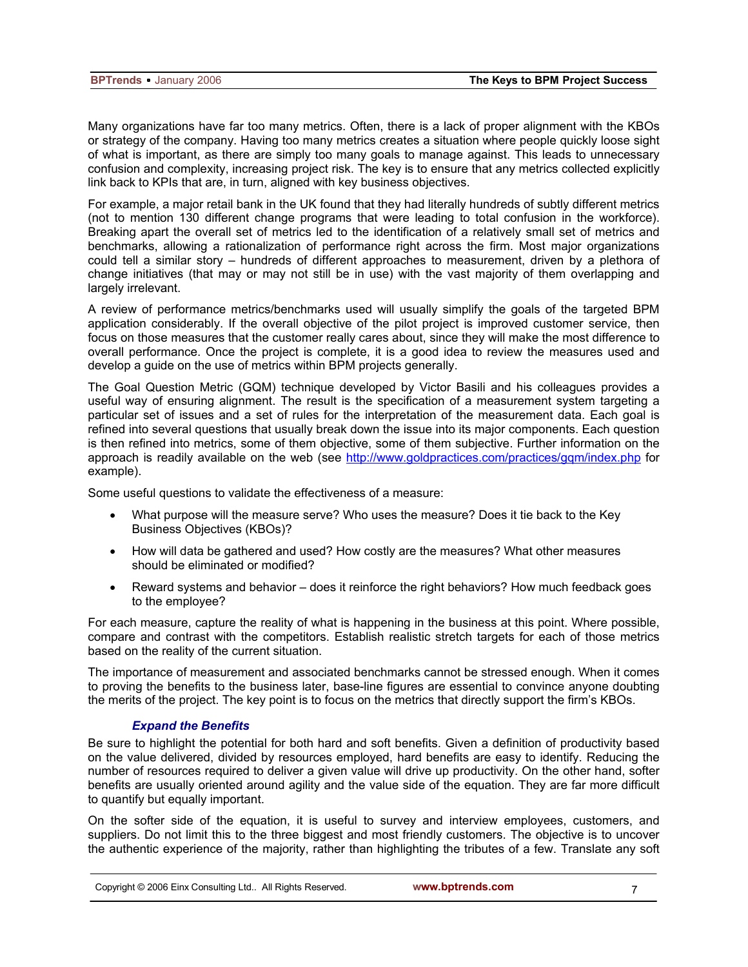Many organizations have far too many metrics. Often, there is a lack of proper alignment with the KBOs or strategy of the company. Having too many metrics creates a situation where people quickly loose sight of what is important, as there are simply too many goals to manage against. This leads to unnecessary confusion and complexity, increasing project risk. The key is to ensure that any metrics collected explicitly link back to KPIs that are, in turn, aligned with key business objectives.

For example, a major retail bank in the UK found that they had literally hundreds of subtly different metrics (not to mention 130 different change programs that were leading to total confusion in the workforce). Breaking apart the overall set of metrics led to the identification of a relatively small set of metrics and benchmarks, allowing a rationalization of performance right across the firm. Most major organizations could tell a similar story – hundreds of different approaches to measurement, driven by a plethora of change initiatives (that may or may not still be in use) with the vast majority of them overlapping and largely irrelevant.

A review of performance metrics/benchmarks used will usually simplify the goals of the targeted BPM application considerably. If the overall objective of the pilot project is improved customer service, then focus on those measures that the customer really cares about, since they will make the most difference to overall performance. Once the project is complete, it is a good idea to review the measures used and develop a guide on the use of metrics within BPM projects generally.

The Goal Question Metric (GQM) technique developed by Victor Basili and his colleagues provides a useful way of ensuring alignment. The result is the specification of a measurement system targeting a particular set of issues and a set of rules for the interpretation of the measurement data. Each goal is refined into several questions that usually break down the issue into its major components. Each question is then refined into metrics, some of them objective, some of them subjective. Further information on the approach is readily available on the web (see http://www.goldpractices.com/practices/gqm/index.php for example).

Some useful questions to validate the effectiveness of a measure:

- What purpose will the measure serve? Who uses the measure? Does it tie back to the Key Business Objectives (KBOs)?
- How will data be gathered and used? How costly are the measures? What other measures should be eliminated or modified?
- Reward systems and behavior does it reinforce the right behaviors? How much feedback goes to the employee?

For each measure, capture the reality of what is happening in the business at this point. Where possible, compare and contrast with the competitors. Establish realistic stretch targets for each of those metrics based on the reality of the current situation.

The importance of measurement and associated benchmarks cannot be stressed enough. When it comes to proving the benefits to the business later, base-line figures are essential to convince anyone doubting the merits of the project. The key point is to focus on the metrics that directly support the firm's KBOs.

#### *Expand the Benefits*

Be sure to highlight the potential for both hard and soft benefits. Given a definition of productivity based on the value delivered, divided by resources employed, hard benefits are easy to identify. Reducing the number of resources required to deliver a given value will drive up productivity. On the other hand, softer benefits are usually oriented around agility and the value side of the equation. They are far more difficult to quantify but equally important.

On the softer side of the equation, it is useful to survey and interview employees, customers, and suppliers. Do not limit this to the three biggest and most friendly customers. The objective is to uncover the authentic experience of the majority, rather than highlighting the tributes of a few. Translate any soft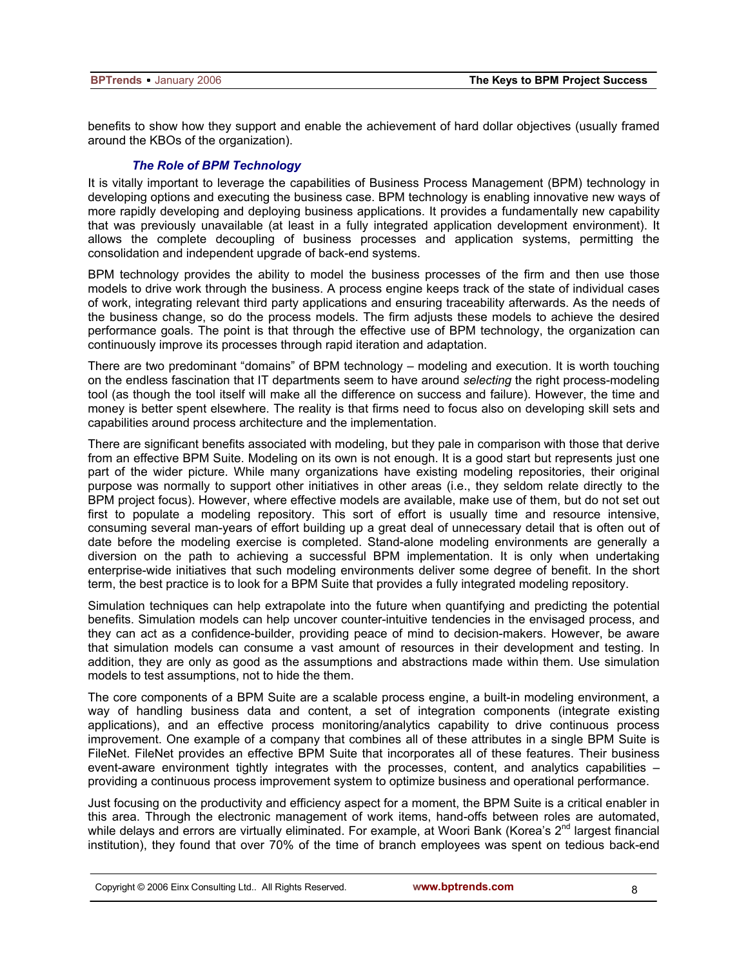benefits to show how they support and enable the achievement of hard dollar objectives (usually framed around the KBOs of the organization).

#### *The Role of BPM Technology*

It is vitally important to leverage the capabilities of Business Process Management (BPM) technology in developing options and executing the business case. BPM technology is enabling innovative new ways of more rapidly developing and deploying business applications. It provides a fundamentally new capability that was previously unavailable (at least in a fully integrated application development environment). It allows the complete decoupling of business processes and application systems, permitting the consolidation and independent upgrade of back-end systems.

BPM technology provides the ability to model the business processes of the firm and then use those models to drive work through the business. A process engine keeps track of the state of individual cases of work, integrating relevant third party applications and ensuring traceability afterwards. As the needs of the business change, so do the process models. The firm adjusts these models to achieve the desired performance goals. The point is that through the effective use of BPM technology, the organization can continuously improve its processes through rapid iteration and adaptation.

There are two predominant "domains" of BPM technology – modeling and execution. It is worth touching on the endless fascination that IT departments seem to have around *selecting* the right process-modeling tool (as though the tool itself will make all the difference on success and failure). However, the time and money is better spent elsewhere. The reality is that firms need to focus also on developing skill sets and capabilities around process architecture and the implementation.

There are significant benefits associated with modeling, but they pale in comparison with those that derive from an effective BPM Suite. Modeling on its own is not enough. It is a good start but represents just one part of the wider picture. While many organizations have existing modeling repositories, their original purpose was normally to support other initiatives in other areas (i.e., they seldom relate directly to the BPM project focus). However, where effective models are available, make use of them, but do not set out first to populate a modeling repository. This sort of effort is usually time and resource intensive, consuming several man-years of effort building up a great deal of unnecessary detail that is often out of date before the modeling exercise is completed. Stand-alone modeling environments are generally a diversion on the path to achieving a successful BPM implementation. It is only when undertaking enterprise-wide initiatives that such modeling environments deliver some degree of benefit. In the short term, the best practice is to look for a BPM Suite that provides a fully integrated modeling repository.

Simulation techniques can help extrapolate into the future when quantifying and predicting the potential benefits. Simulation models can help uncover counter-intuitive tendencies in the envisaged process, and they can act as a confidence-builder, providing peace of mind to decision-makers. However, be aware that simulation models can consume a vast amount of resources in their development and testing. In addition, they are only as good as the assumptions and abstractions made within them. Use simulation models to test assumptions, not to hide the them.

The core components of a BPM Suite are a scalable process engine, a built-in modeling environment, a way of handling business data and content, a set of integration components (integrate existing applications), and an effective process monitoring/analytics capability to drive continuous process improvement. One example of a company that combines all of these attributes in a single BPM Suite is FileNet. FileNet provides an effective BPM Suite that incorporates all of these features. Their business event-aware environment tightly integrates with the processes, content, and analytics capabilities – providing a continuous process improvement system to optimize business and operational performance.

Just focusing on the productivity and efficiency aspect for a moment, the BPM Suite is a critical enabler in this area. Through the electronic management of work items, hand-offs between roles are automated, while delays and errors are virtually eliminated. For example, at Woori Bank (Korea's 2<sup>nd</sup> largest financial institution), they found that over 70% of the time of branch employees was spent on tedious back-end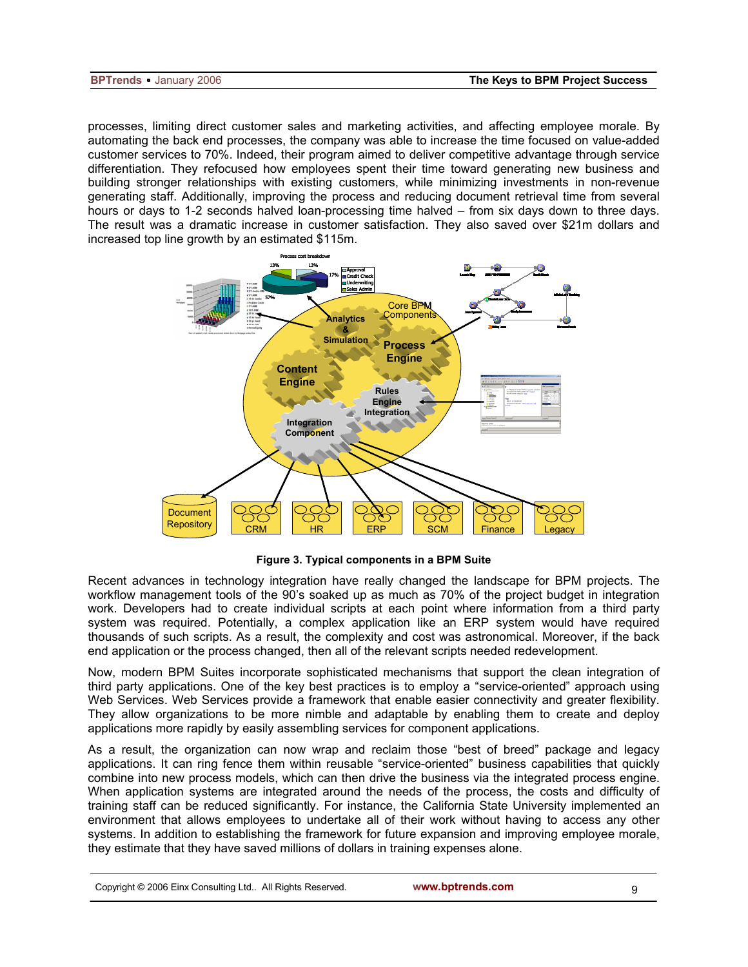processes, limiting direct customer sales and marketing activities, and affecting employee morale. By automating the back end processes, the company was able to increase the time focused on value-added customer services to 70%. Indeed, their program aimed to deliver competitive advantage through service differentiation. They refocused how employees spent their time toward generating new business and building stronger relationships with existing customers, while minimizing investments in non-revenue generating staff. Additionally, improving the process and reducing document retrieval time from several hours or days to 1-2 seconds halved loan-processing time halved – from six days down to three days. The result was a dramatic increase in customer satisfaction. They also saved over \$21m dollars and increased top line growth by an estimated \$115m.



**Figure 3. Typical components in a BPM Suite** 

Recent advances in technology integration have really changed the landscape for BPM projects. The workflow management tools of the 90's soaked up as much as 70% of the project budget in integration work. Developers had to create individual scripts at each point where information from a third party system was required. Potentially, a complex application like an ERP system would have required thousands of such scripts. As a result, the complexity and cost was astronomical. Moreover, if the back end application or the process changed, then all of the relevant scripts needed redevelopment.

Now, modern BPM Suites incorporate sophisticated mechanisms that support the clean integration of third party applications. One of the key best practices is to employ a "service-oriented" approach using Web Services. Web Services provide a framework that enable easier connectivity and greater flexibility. They allow organizations to be more nimble and adaptable by enabling them to create and deploy applications more rapidly by easily assembling services for component applications.

As a result, the organization can now wrap and reclaim those "best of breed" package and legacy applications. It can ring fence them within reusable "service-oriented" business capabilities that quickly combine into new process models, which can then drive the business via the integrated process engine. When application systems are integrated around the needs of the process, the costs and difficulty of training staff can be reduced significantly. For instance, the California State University implemented an environment that allows employees to undertake all of their work without having to access any other systems. In addition to establishing the framework for future expansion and improving employee morale, they estimate that they have saved millions of dollars in training expenses alone.

| Copyright © 2006 Einx Consulting Ltd All Rights Reserved. |  |
|-----------------------------------------------------------|--|
|                                                           |  |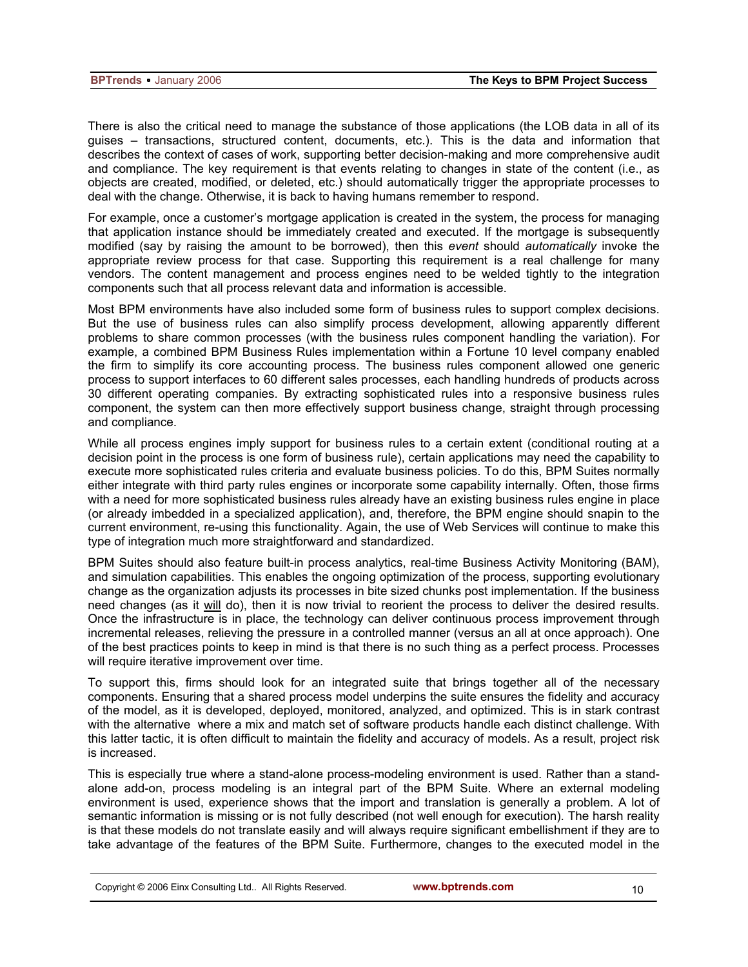There is also the critical need to manage the substance of those applications (the LOB data in all of its guises – transactions, structured content, documents, etc.). This is the data and information that describes the context of cases of work, supporting better decision-making and more comprehensive audit and compliance. The key requirement is that events relating to changes in state of the content (i.e., as objects are created, modified, or deleted, etc.) should automatically trigger the appropriate processes to deal with the change. Otherwise, it is back to having humans remember to respond.

For example, once a customer's mortgage application is created in the system, the process for managing that application instance should be immediately created and executed. If the mortgage is subsequently modified (say by raising the amount to be borrowed), then this *event* should *automatically* invoke the appropriate review process for that case. Supporting this requirement is a real challenge for many vendors. The content management and process engines need to be welded tightly to the integration components such that all process relevant data and information is accessible.

Most BPM environments have also included some form of business rules to support complex decisions. But the use of business rules can also simplify process development, allowing apparently different problems to share common processes (with the business rules component handling the variation). For example, a combined BPM Business Rules implementation within a Fortune 10 level company enabled the firm to simplify its core accounting process. The business rules component allowed one generic process to support interfaces to 60 different sales processes, each handling hundreds of products across 30 different operating companies. By extracting sophisticated rules into a responsive business rules component, the system can then more effectively support business change, straight through processing and compliance.

While all process engines imply support for business rules to a certain extent (conditional routing at a decision point in the process is one form of business rule), certain applications may need the capability to execute more sophisticated rules criteria and evaluate business policies. To do this, BPM Suites normally either integrate with third party rules engines or incorporate some capability internally. Often, those firms with a need for more sophisticated business rules already have an existing business rules engine in place (or already imbedded in a specialized application), and, therefore, the BPM engine should snapin to the current environment, re-using this functionality. Again, the use of Web Services will continue to make this type of integration much more straightforward and standardized.

BPM Suites should also feature built-in process analytics, real-time Business Activity Monitoring (BAM), and simulation capabilities. This enables the ongoing optimization of the process, supporting evolutionary change as the organization adjusts its processes in bite sized chunks post implementation. If the business need changes (as it will do), then it is now trivial to reorient the process to deliver the desired results. Once the infrastructure is in place, the technology can deliver continuous process improvement through incremental releases, relieving the pressure in a controlled manner (versus an all at once approach). One of the best practices points to keep in mind is that there is no such thing as a perfect process. Processes will require iterative improvement over time.

To support this, firms should look for an integrated suite that brings together all of the necessary components. Ensuring that a shared process model underpins the suite ensures the fidelity and accuracy of the model, as it is developed, deployed, monitored, analyzed, and optimized. This is in stark contrast with the alternative where a mix and match set of software products handle each distinct challenge. With this latter tactic, it is often difficult to maintain the fidelity and accuracy of models. As a result, project risk is increased.

This is especially true where a stand-alone process-modeling environment is used. Rather than a standalone add-on, process modeling is an integral part of the BPM Suite. Where an external modeling environment is used, experience shows that the import and translation is generally a problem. A lot of semantic information is missing or is not fully described (not well enough for execution). The harsh reality is that these models do not translate easily and will always require significant embellishment if they are to take advantage of the features of the BPM Suite. Furthermore, changes to the executed model in the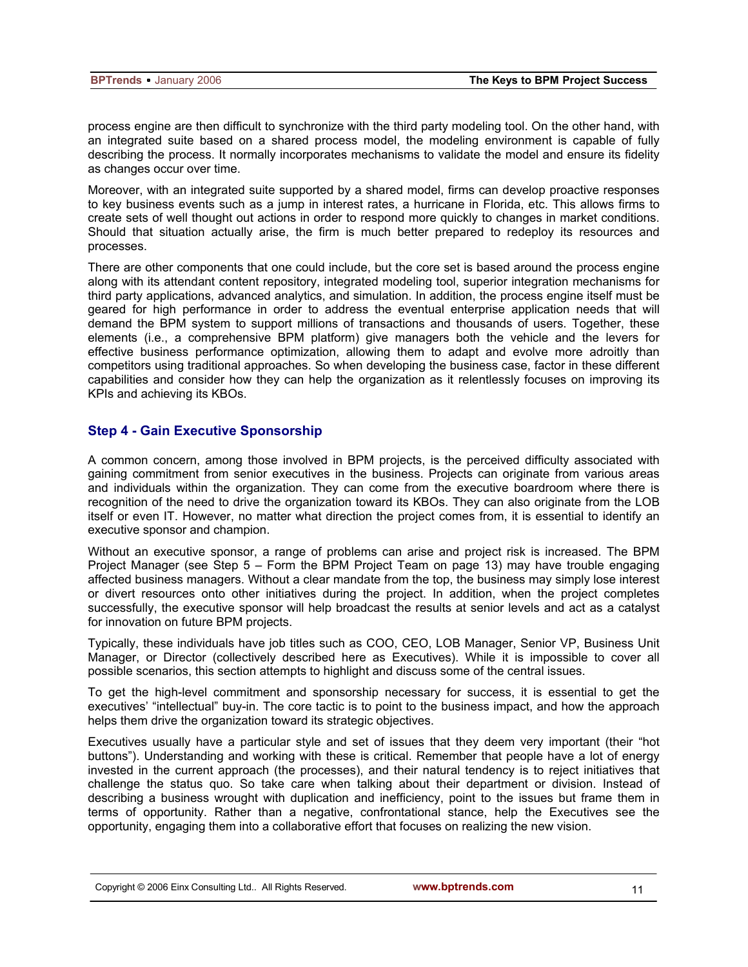process engine are then difficult to synchronize with the third party modeling tool. On the other hand, with an integrated suite based on a shared process model, the modeling environment is capable of fully describing the process. It normally incorporates mechanisms to validate the model and ensure its fidelity as changes occur over time.

Moreover, with an integrated suite supported by a shared model, firms can develop proactive responses to key business events such as a jump in interest rates, a hurricane in Florida, etc. This allows firms to create sets of well thought out actions in order to respond more quickly to changes in market conditions. Should that situation actually arise, the firm is much better prepared to redeploy its resources and processes.

There are other components that one could include, but the core set is based around the process engine along with its attendant content repository, integrated modeling tool, superior integration mechanisms for third party applications, advanced analytics, and simulation. In addition, the process engine itself must be geared for high performance in order to address the eventual enterprise application needs that will demand the BPM system to support millions of transactions and thousands of users. Together, these elements (i.e., a comprehensive BPM platform) give managers both the vehicle and the levers for effective business performance optimization, allowing them to adapt and evolve more adroitly than competitors using traditional approaches. So when developing the business case, factor in these different capabilities and consider how they can help the organization as it relentlessly focuses on improving its KPIs and achieving its KBOs.

## **Step 4 - Gain Executive Sponsorship**

A common concern, among those involved in BPM projects, is the perceived difficulty associated with gaining commitment from senior executives in the business. Projects can originate from various areas and individuals within the organization. They can come from the executive boardroom where there is recognition of the need to drive the organization toward its KBOs. They can also originate from the LOB itself or even IT. However, no matter what direction the project comes from, it is essential to identify an executive sponsor and champion.

Without an executive sponsor, a range of problems can arise and project risk is increased. The BPM Project Manager (see Step 5 – Form the BPM Project Team on page 13) may have trouble engaging affected business managers. Without a clear mandate from the top, the business may simply lose interest or divert resources onto other initiatives during the project. In addition, when the project completes successfully, the executive sponsor will help broadcast the results at senior levels and act as a catalyst for innovation on future BPM projects.

Typically, these individuals have job titles such as COO, CEO, LOB Manager, Senior VP, Business Unit Manager, or Director (collectively described here as Executives). While it is impossible to cover all possible scenarios, this section attempts to highlight and discuss some of the central issues.

To get the high-level commitment and sponsorship necessary for success, it is essential to get the executives' "intellectual" buy-in. The core tactic is to point to the business impact, and how the approach helps them drive the organization toward its strategic objectives.

Executives usually have a particular style and set of issues that they deem very important (their "hot buttons"). Understanding and working with these is critical. Remember that people have a lot of energy invested in the current approach (the processes), and their natural tendency is to reject initiatives that challenge the status quo. So take care when talking about their department or division. Instead of describing a business wrought with duplication and inefficiency, point to the issues but frame them in terms of opportunity. Rather than a negative, confrontational stance, help the Executives see the opportunity, engaging them into a collaborative effort that focuses on realizing the new vision.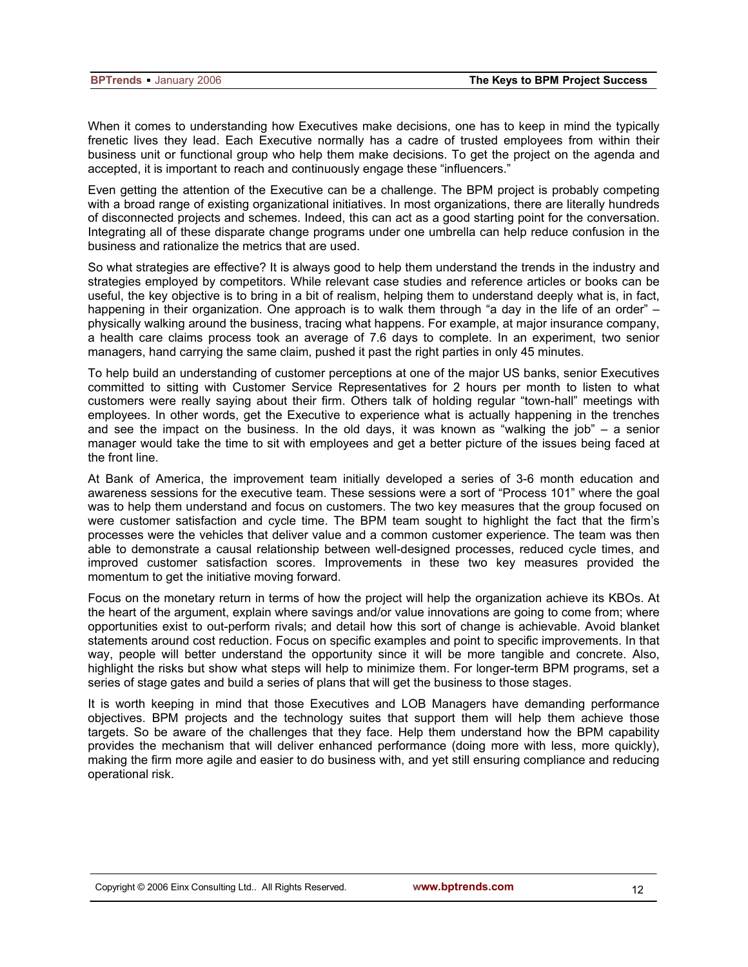When it comes to understanding how Executives make decisions, one has to keep in mind the typically frenetic lives they lead. Each Executive normally has a cadre of trusted employees from within their business unit or functional group who help them make decisions. To get the project on the agenda and accepted, it is important to reach and continuously engage these "influencers."

Even getting the attention of the Executive can be a challenge. The BPM project is probably competing with a broad range of existing organizational initiatives. In most organizations, there are literally hundreds of disconnected projects and schemes. Indeed, this can act as a good starting point for the conversation. Integrating all of these disparate change programs under one umbrella can help reduce confusion in the business and rationalize the metrics that are used.

So what strategies are effective? It is always good to help them understand the trends in the industry and strategies employed by competitors. While relevant case studies and reference articles or books can be useful, the key objective is to bring in a bit of realism, helping them to understand deeply what is, in fact, happening in their organization. One approach is to walk them through "a day in the life of an order" – physically walking around the business, tracing what happens. For example, at major insurance company, a health care claims process took an average of 7.6 days to complete. In an experiment, two senior managers, hand carrying the same claim, pushed it past the right parties in only 45 minutes.

To help build an understanding of customer perceptions at one of the major US banks, senior Executives committed to sitting with Customer Service Representatives for 2 hours per month to listen to what customers were really saying about their firm. Others talk of holding regular "town-hall" meetings with employees. In other words, get the Executive to experience what is actually happening in the trenches and see the impact on the business. In the old days, it was known as "walking the job" – a senior manager would take the time to sit with employees and get a better picture of the issues being faced at the front line.

At Bank of America, the improvement team initially developed a series of 3-6 month education and awareness sessions for the executive team. These sessions were a sort of "Process 101" where the goal was to help them understand and focus on customers. The two key measures that the group focused on were customer satisfaction and cycle time. The BPM team sought to highlight the fact that the firm's processes were the vehicles that deliver value and a common customer experience. The team was then able to demonstrate a causal relationship between well-designed processes, reduced cycle times, and improved customer satisfaction scores. Improvements in these two key measures provided the momentum to get the initiative moving forward.

Focus on the monetary return in terms of how the project will help the organization achieve its KBOs. At the heart of the argument, explain where savings and/or value innovations are going to come from; where opportunities exist to out-perform rivals; and detail how this sort of change is achievable. Avoid blanket statements around cost reduction. Focus on specific examples and point to specific improvements. In that way, people will better understand the opportunity since it will be more tangible and concrete. Also, highlight the risks but show what steps will help to minimize them. For longer-term BPM programs, set a series of stage gates and build a series of plans that will get the business to those stages.

It is worth keeping in mind that those Executives and LOB Managers have demanding performance objectives. BPM projects and the technology suites that support them will help them achieve those targets. So be aware of the challenges that they face. Help them understand how the BPM capability provides the mechanism that will deliver enhanced performance (doing more with less, more quickly), making the firm more agile and easier to do business with, and yet still ensuring compliance and reducing operational risk.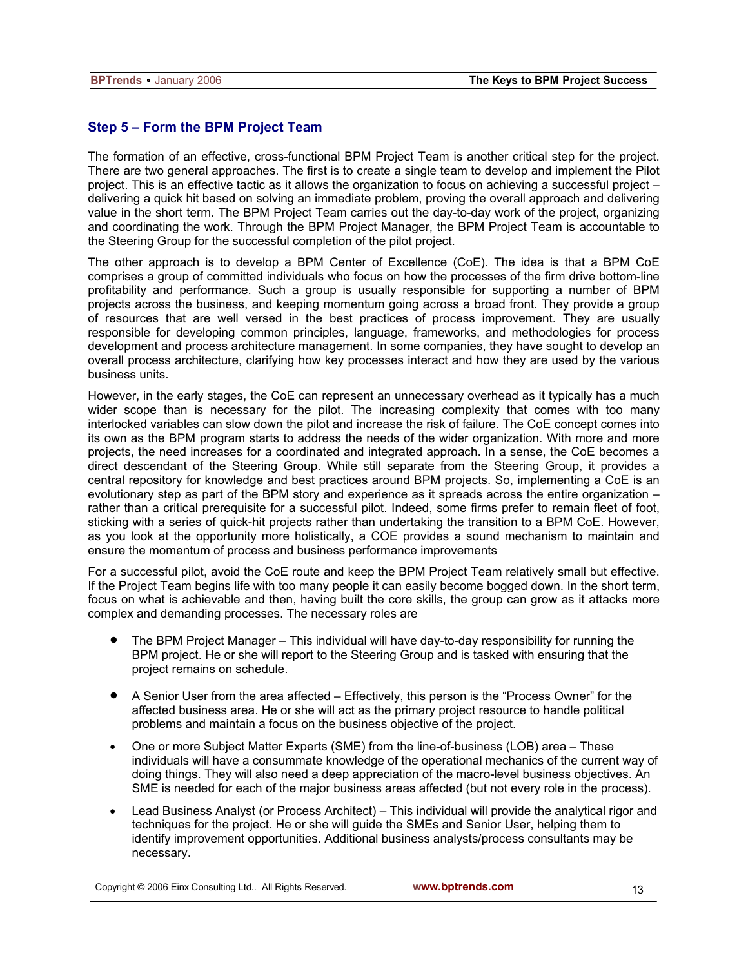## **Step 5 – Form the BPM Project Team**

The formation of an effective, cross-functional BPM Project Team is another critical step for the project. There are two general approaches. The first is to create a single team to develop and implement the Pilot project. This is an effective tactic as it allows the organization to focus on achieving a successful project – delivering a quick hit based on solving an immediate problem, proving the overall approach and delivering value in the short term. The BPM Project Team carries out the day-to-day work of the project, organizing and coordinating the work. Through the BPM Project Manager, the BPM Project Team is accountable to the Steering Group for the successful completion of the pilot project.

The other approach is to develop a BPM Center of Excellence (CoE). The idea is that a BPM CoE comprises a group of committed individuals who focus on how the processes of the firm drive bottom-line profitability and performance. Such a group is usually responsible for supporting a number of BPM projects across the business, and keeping momentum going across a broad front. They provide a group of resources that are well versed in the best practices of process improvement. They are usually responsible for developing common principles, language, frameworks, and methodologies for process development and process architecture management. In some companies, they have sought to develop an overall process architecture, clarifying how key processes interact and how they are used by the various business units.

However, in the early stages, the CoE can represent an unnecessary overhead as it typically has a much wider scope than is necessary for the pilot. The increasing complexity that comes with too many interlocked variables can slow down the pilot and increase the risk of failure. The CoE concept comes into its own as the BPM program starts to address the needs of the wider organization. With more and more projects, the need increases for a coordinated and integrated approach. In a sense, the CoE becomes a direct descendant of the Steering Group. While still separate from the Steering Group, it provides a central repository for knowledge and best practices around BPM projects. So, implementing a CoE is an evolutionary step as part of the BPM story and experience as it spreads across the entire organization – rather than a critical prerequisite for a successful pilot. Indeed, some firms prefer to remain fleet of foot, sticking with a series of quick-hit projects rather than undertaking the transition to a BPM CoE. However, as you look at the opportunity more holistically, a COE provides a sound mechanism to maintain and ensure the momentum of process and business performance improvements

For a successful pilot, avoid the CoE route and keep the BPM Project Team relatively small but effective. If the Project Team begins life with too many people it can easily become bogged down. In the short term, focus on what is achievable and then, having built the core skills, the group can grow as it attacks more complex and demanding processes. The necessary roles are

- The BPM Project Manager This individual will have day-to-day responsibility for running the BPM project. He or she will report to the Steering Group and is tasked with ensuring that the project remains on schedule.
- A Senior User from the area affected Effectively, this person is the "Process Owner" for the affected business area. He or she will act as the primary project resource to handle political problems and maintain a focus on the business objective of the project.
- One or more Subject Matter Experts (SME) from the line-of-business (LOB) area These individuals will have a consummate knowledge of the operational mechanics of the current way of doing things. They will also need a deep appreciation of the macro-level business objectives. An SME is needed for each of the major business areas affected (but not every role in the process).
- Lead Business Analyst (or Process Architect) This individual will provide the analytical rigor and techniques for the project. He or she will guide the SMEs and Senior User, helping them to identify improvement opportunities. Additional business analysts/process consultants may be necessary.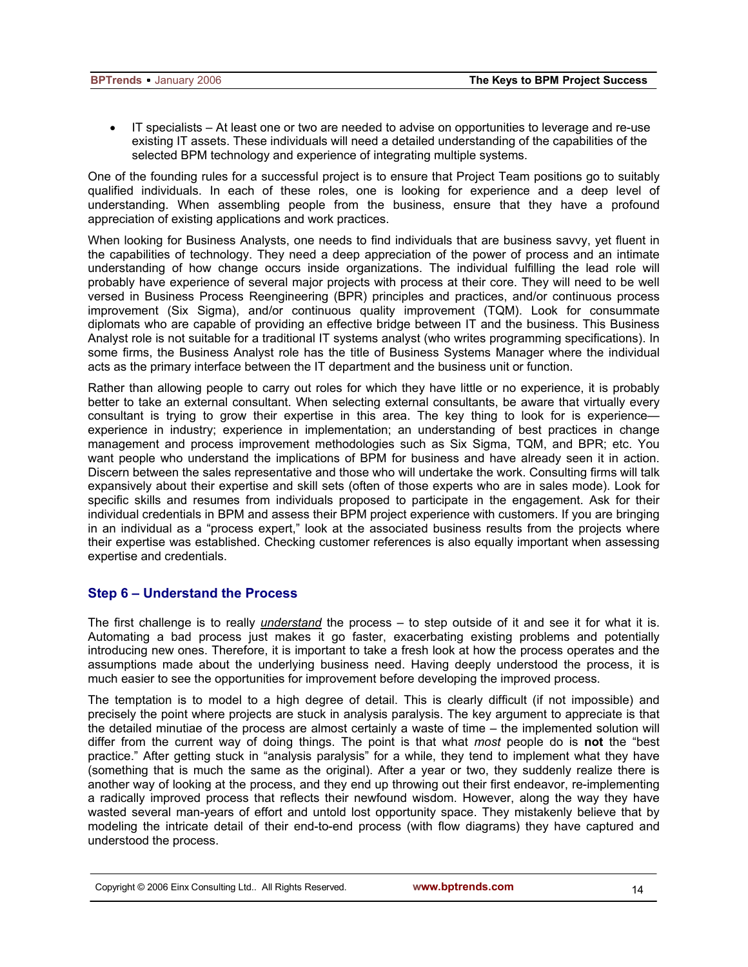• IT specialists – At least one or two are needed to advise on opportunities to leverage and re-use existing IT assets. These individuals will need a detailed understanding of the capabilities of the selected BPM technology and experience of integrating multiple systems.

One of the founding rules for a successful project is to ensure that Project Team positions go to suitably qualified individuals. In each of these roles, one is looking for experience and a deep level of understanding. When assembling people from the business, ensure that they have a profound appreciation of existing applications and work practices.

When looking for Business Analysts, one needs to find individuals that are business savvy, yet fluent in the capabilities of technology. They need a deep appreciation of the power of process and an intimate understanding of how change occurs inside organizations. The individual fulfilling the lead role will probably have experience of several major projects with process at their core. They will need to be well versed in Business Process Reengineering (BPR) principles and practices, and/or continuous process improvement (Six Sigma), and/or continuous quality improvement (TQM). Look for consummate diplomats who are capable of providing an effective bridge between IT and the business. This Business Analyst role is not suitable for a traditional IT systems analyst (who writes programming specifications). In some firms, the Business Analyst role has the title of Business Systems Manager where the individual acts as the primary interface between the IT department and the business unit or function.

Rather than allowing people to carry out roles for which they have little or no experience, it is probably better to take an external consultant. When selecting external consultants, be aware that virtually every consultant is trying to grow their expertise in this area. The key thing to look for is experience experience in industry; experience in implementation; an understanding of best practices in change management and process improvement methodologies such as Six Sigma, TQM, and BPR; etc. You want people who understand the implications of BPM for business and have already seen it in action. Discern between the sales representative and those who will undertake the work. Consulting firms will talk expansively about their expertise and skill sets (often of those experts who are in sales mode). Look for specific skills and resumes from individuals proposed to participate in the engagement. Ask for their individual credentials in BPM and assess their BPM project experience with customers. If you are bringing in an individual as a "process expert," look at the associated business results from the projects where their expertise was established. Checking customer references is also equally important when assessing expertise and credentials.

## **Step 6 – Understand the Process**

The first challenge is to really *understand* the process – to step outside of it and see it for what it is. Automating a bad process just makes it go faster, exacerbating existing problems and potentially introducing new ones. Therefore, it is important to take a fresh look at how the process operates and the assumptions made about the underlying business need. Having deeply understood the process, it is much easier to see the opportunities for improvement before developing the improved process.

The temptation is to model to a high degree of detail. This is clearly difficult (if not impossible) and precisely the point where projects are stuck in analysis paralysis. The key argument to appreciate is that the detailed minutiae of the process are almost certainly a waste of time – the implemented solution will differ from the current way of doing things. The point is that what *most* people do is **not** the "best practice." After getting stuck in "analysis paralysis" for a while, they tend to implement what they have (something that is much the same as the original). After a year or two, they suddenly realize there is another way of looking at the process, and they end up throwing out their first endeavor, re-implementing a radically improved process that reflects their newfound wisdom. However, along the way they have wasted several man-years of effort and untold lost opportunity space. They mistakenly believe that by modeling the intricate detail of their end-to-end process (with flow diagrams) they have captured and understood the process.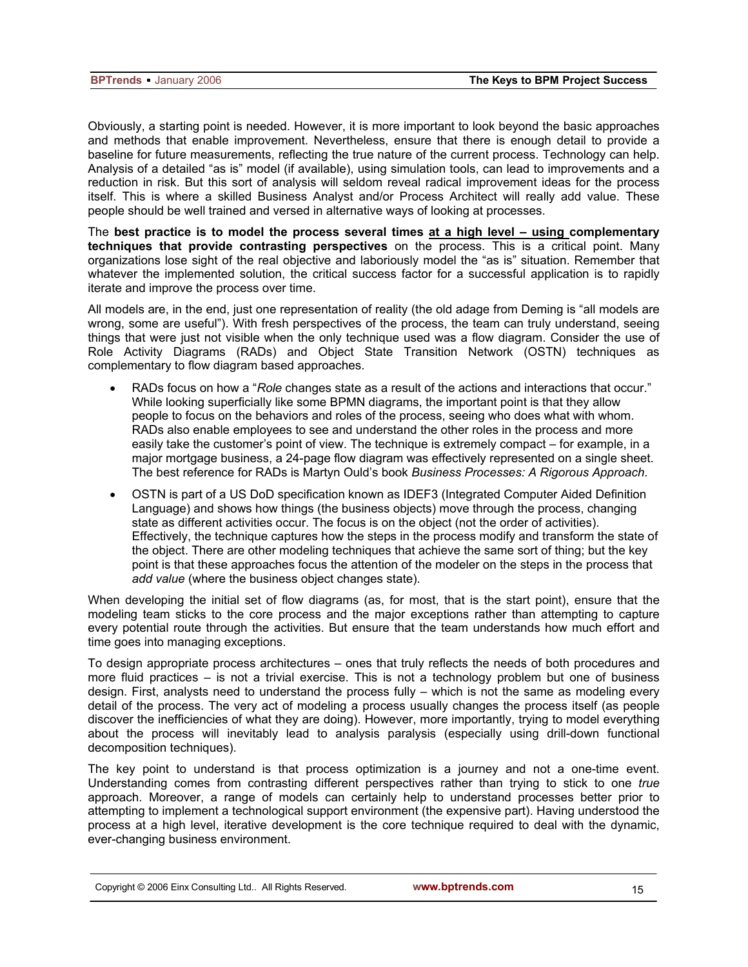Obviously, a starting point is needed. However, it is more important to look beyond the basic approaches and methods that enable improvement. Nevertheless, ensure that there is enough detail to provide a baseline for future measurements, reflecting the true nature of the current process. Technology can help. Analysis of a detailed "as is" model (if available), using simulation tools, can lead to improvements and a reduction in risk. But this sort of analysis will seldom reveal radical improvement ideas for the process itself. This is where a skilled Business Analyst and/or Process Architect will really add value. These people should be well trained and versed in alternative ways of looking at processes.

The **best practice is to model the process several times at a high level – using complementary techniques that provide contrasting perspectives** on the process. This is a critical point. Many organizations lose sight of the real objective and laboriously model the "as is" situation. Remember that whatever the implemented solution, the critical success factor for a successful application is to rapidly iterate and improve the process over time.

All models are, in the end, just one representation of reality (the old adage from Deming is "all models are wrong, some are useful"). With fresh perspectives of the process, the team can truly understand, seeing things that were just not visible when the only technique used was a flow diagram. Consider the use of Role Activity Diagrams (RADs) and Object State Transition Network (OSTN) techniques as complementary to flow diagram based approaches.

- RADs focus on how a "*Role* changes state as a result of the actions and interactions that occur." While looking superficially like some BPMN diagrams, the important point is that they allow people to focus on the behaviors and roles of the process, seeing who does what with whom. RADs also enable employees to see and understand the other roles in the process and more easily take the customer's point of view. The technique is extremely compact – for example, in a major mortgage business, a 24-page flow diagram was effectively represented on a single sheet. The best reference for RADs is Martyn Ould's book *Business Processes: A Rigorous Approach*.
- OSTN is part of a US DoD specification known as IDEF3 (Integrated Computer Aided Definition Language) and shows how things (the business objects) move through the process, changing state as different activities occur. The focus is on the object (not the order of activities). Effectively, the technique captures how the steps in the process modify and transform the state of the object. There are other modeling techniques that achieve the same sort of thing; but the key point is that these approaches focus the attention of the modeler on the steps in the process that *add value* (where the business object changes state).

When developing the initial set of flow diagrams (as, for most, that is the start point), ensure that the modeling team sticks to the core process and the major exceptions rather than attempting to capture every potential route through the activities. But ensure that the team understands how much effort and time goes into managing exceptions.

To design appropriate process architectures – ones that truly reflects the needs of both procedures and more fluid practices – is not a trivial exercise. This is not a technology problem but one of business design. First, analysts need to understand the process fully – which is not the same as modeling every detail of the process. The very act of modeling a process usually changes the process itself (as people discover the inefficiencies of what they are doing). However, more importantly, trying to model everything about the process will inevitably lead to analysis paralysis (especially using drill-down functional decomposition techniques).

The key point to understand is that process optimization is a journey and not a one-time event. Understanding comes from contrasting different perspectives rather than trying to stick to one *true* approach. Moreover, a range of models can certainly help to understand processes better prior to attempting to implement a technological support environment (the expensive part). Having understood the process at a high level, iterative development is the core technique required to deal with the dynamic, ever-changing business environment.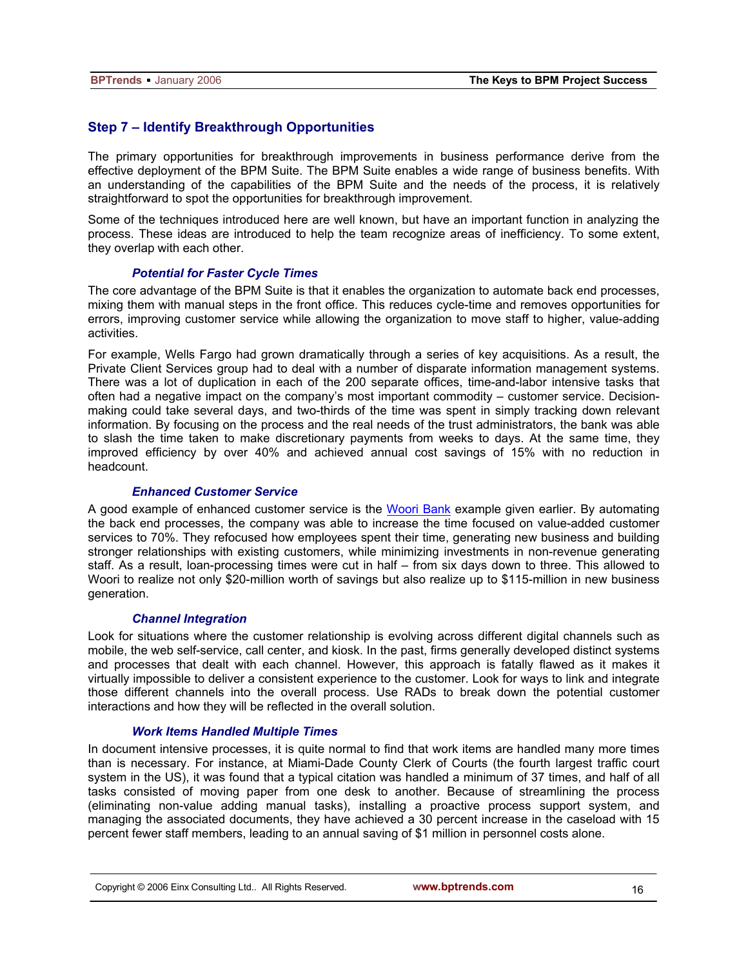## **Step 7 – Identify Breakthrough Opportunities**

The primary opportunities for breakthrough improvements in business performance derive from the effective deployment of the BPM Suite. The BPM Suite enables a wide range of business benefits. With an understanding of the capabilities of the BPM Suite and the needs of the process, it is relatively straightforward to spot the opportunities for breakthrough improvement.

Some of the techniques introduced here are well known, but have an important function in analyzing the process. These ideas are introduced to help the team recognize areas of inefficiency. To some extent, they overlap with each other.

#### *Potential for Faster Cycle Times*

The core advantage of the BPM Suite is that it enables the organization to automate back end processes, mixing them with manual steps in the front office. This reduces cycle-time and removes opportunities for errors, improving customer service while allowing the organization to move staff to higher, value-adding activities.

For example, Wells Fargo had grown dramatically through a series of key acquisitions. As a result, the Private Client Services group had to deal with a number of disparate information management systems. There was a lot of duplication in each of the 200 separate offices, time-and-labor intensive tasks that often had a negative impact on the company's most important commodity – customer service. Decisionmaking could take several days, and two-thirds of the time was spent in simply tracking down relevant information. By focusing on the process and the real needs of the trust administrators, the bank was able to slash the time taken to make discretionary payments from weeks to days. At the same time, they improved efficiency by over 40% and achieved annual cost savings of 15% with no reduction in headcount.

## *Enhanced Customer Service*

A good example of enhanced customer service is the Woori Bank example given earlier. By automating the back end processes, the company was able to increase the time focused on value-added customer services to 70%. They refocused how employees spent their time, generating new business and building stronger relationships with existing customers, while minimizing investments in non-revenue generating staff. As a result, loan-processing times were cut in half – from six days down to three. This allowed to Woori to realize not only \$20-million worth of savings but also realize up to \$115-million in new business generation.

#### *Channel Integration*

Look for situations where the customer relationship is evolving across different digital channels such as mobile, the web self-service, call center, and kiosk. In the past, firms generally developed distinct systems and processes that dealt with each channel. However, this approach is fatally flawed as it makes it virtually impossible to deliver a consistent experience to the customer. Look for ways to link and integrate those different channels into the overall process. Use RADs to break down the potential customer interactions and how they will be reflected in the overall solution.

#### *Work Items Handled Multiple Times*

In document intensive processes, it is quite normal to find that work items are handled many more times than is necessary. For instance, at Miami-Dade County Clerk of Courts (the fourth largest traffic court system in the US), it was found that a typical citation was handled a minimum of 37 times, and half of all tasks consisted of moving paper from one desk to another. Because of streamlining the process (eliminating non-value adding manual tasks), installing a proactive process support system, and managing the associated documents, they have achieved a 30 percent increase in the caseload with 15 percent fewer staff members, leading to an annual saving of \$1 million in personnel costs alone.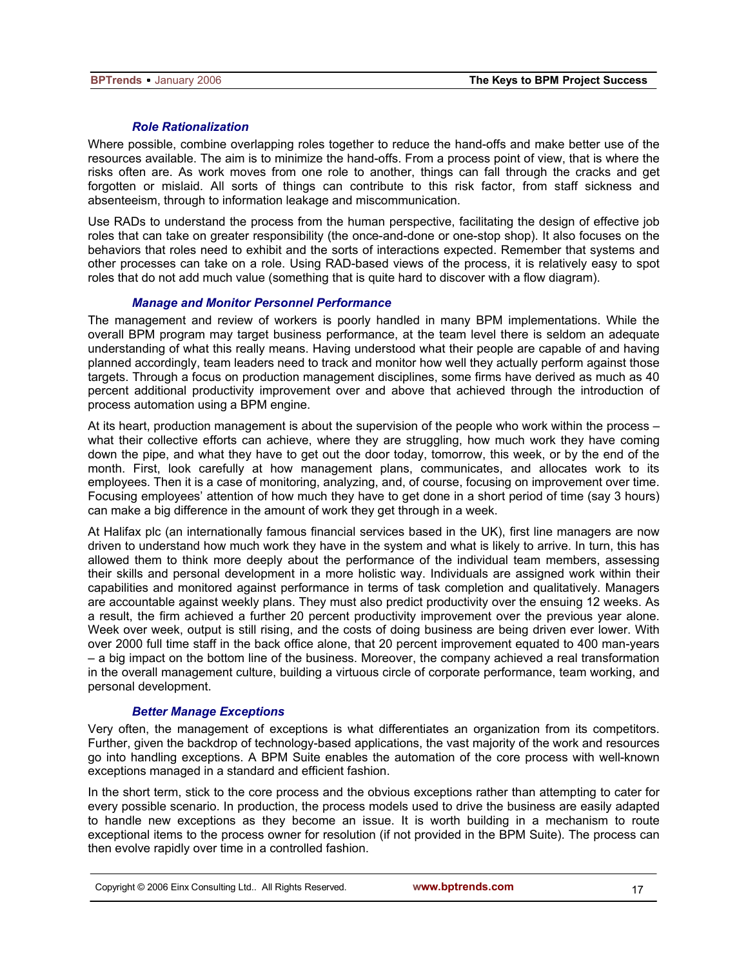#### *Role Rationalization*

Where possible, combine overlapping roles together to reduce the hand-offs and make better use of the resources available. The aim is to minimize the hand-offs. From a process point of view, that is where the risks often are. As work moves from one role to another, things can fall through the cracks and get forgotten or mislaid. All sorts of things can contribute to this risk factor, from staff sickness and absenteeism, through to information leakage and miscommunication.

Use RADs to understand the process from the human perspective, facilitating the design of effective job roles that can take on greater responsibility (the once-and-done or one-stop shop). It also focuses on the behaviors that roles need to exhibit and the sorts of interactions expected. Remember that systems and other processes can take on a role. Using RAD-based views of the process, it is relatively easy to spot roles that do not add much value (something that is quite hard to discover with a flow diagram).

#### *Manage and Monitor Personnel Performance*

The management and review of workers is poorly handled in many BPM implementations. While the overall BPM program may target business performance, at the team level there is seldom an adequate understanding of what this really means. Having understood what their people are capable of and having planned accordingly, team leaders need to track and monitor how well they actually perform against those targets. Through a focus on production management disciplines, some firms have derived as much as 40 percent additional productivity improvement over and above that achieved through the introduction of process automation using a BPM engine.

At its heart, production management is about the supervision of the people who work within the process – what their collective efforts can achieve, where they are struggling, how much work they have coming down the pipe, and what they have to get out the door today, tomorrow, this week, or by the end of the month. First, look carefully at how management plans, communicates, and allocates work to its employees. Then it is a case of monitoring, analyzing, and, of course, focusing on improvement over time. Focusing employees' attention of how much they have to get done in a short period of time (say 3 hours) can make a big difference in the amount of work they get through in a week.

At Halifax plc (an internationally famous financial services based in the UK), first line managers are now driven to understand how much work they have in the system and what is likely to arrive. In turn, this has allowed them to think more deeply about the performance of the individual team members, assessing their skills and personal development in a more holistic way. Individuals are assigned work within their capabilities and monitored against performance in terms of task completion and qualitatively. Managers are accountable against weekly plans. They must also predict productivity over the ensuing 12 weeks. As a result, the firm achieved a further 20 percent productivity improvement over the previous year alone. Week over week, output is still rising, and the costs of doing business are being driven ever lower. With over 2000 full time staff in the back office alone, that 20 percent improvement equated to 400 man-years – a big impact on the bottom line of the business. Moreover, the company achieved a real transformation in the overall management culture, building a virtuous circle of corporate performance, team working, and personal development.

#### *Better Manage Exceptions*

Very often, the management of exceptions is what differentiates an organization from its competitors. Further, given the backdrop of technology-based applications, the vast majority of the work and resources go into handling exceptions. A BPM Suite enables the automation of the core process with well-known exceptions managed in a standard and efficient fashion.

In the short term, stick to the core process and the obvious exceptions rather than attempting to cater for every possible scenario. In production, the process models used to drive the business are easily adapted to handle new exceptions as they become an issue. It is worth building in a mechanism to route exceptional items to the process owner for resolution (if not provided in the BPM Suite). The process can then evolve rapidly over time in a controlled fashion.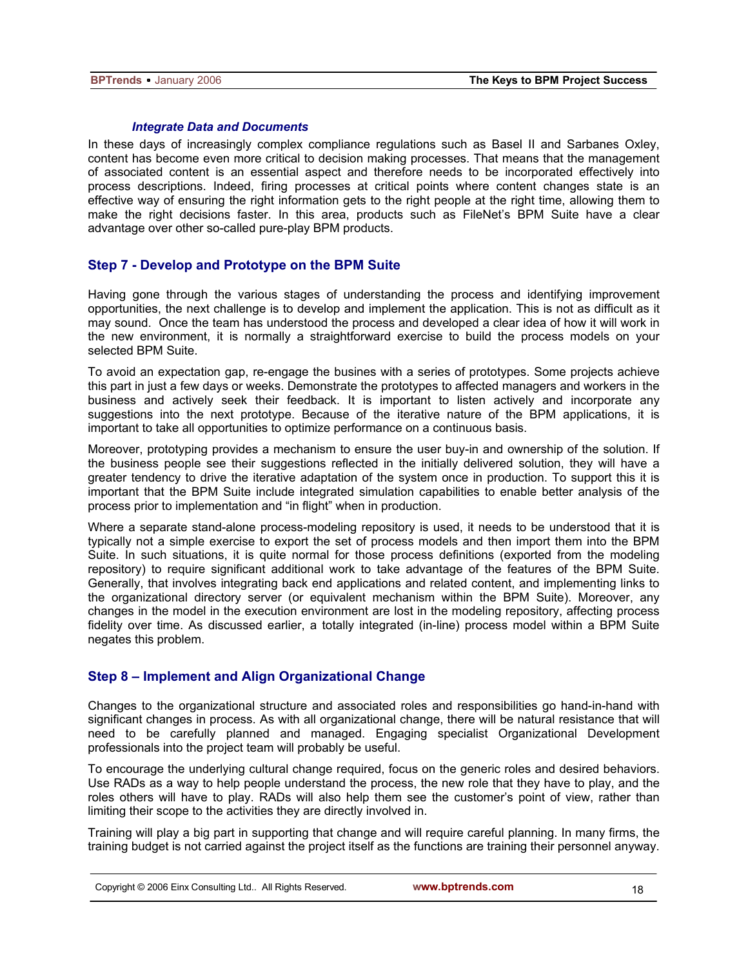#### *Integrate Data and Documents*

In these days of increasingly complex compliance regulations such as Basel II and Sarbanes Oxley, content has become even more critical to decision making processes. That means that the management of associated content is an essential aspect and therefore needs to be incorporated effectively into process descriptions. Indeed, firing processes at critical points where content changes state is an effective way of ensuring the right information gets to the right people at the right time, allowing them to make the right decisions faster. In this area, products such as FileNet's BPM Suite have a clear advantage over other so-called pure-play BPM products.

## **Step 7 - Develop and Prototype on the BPM Suite**

Having gone through the various stages of understanding the process and identifying improvement opportunities, the next challenge is to develop and implement the application. This is not as difficult as it may sound. Once the team has understood the process and developed a clear idea of how it will work in the new environment, it is normally a straightforward exercise to build the process models on your selected BPM Suite.

To avoid an expectation gap, re-engage the busines with a series of prototypes. Some projects achieve this part in just a few days or weeks. Demonstrate the prototypes to affected managers and workers in the business and actively seek their feedback. It is important to listen actively and incorporate any suggestions into the next prototype. Because of the iterative nature of the BPM applications, it is important to take all opportunities to optimize performance on a continuous basis.

Moreover, prototyping provides a mechanism to ensure the user buy-in and ownership of the solution. If the business people see their suggestions reflected in the initially delivered solution, they will have a greater tendency to drive the iterative adaptation of the system once in production. To support this it is important that the BPM Suite include integrated simulation capabilities to enable better analysis of the process prior to implementation and "in flight" when in production.

Where a separate stand-alone process-modeling repository is used, it needs to be understood that it is typically not a simple exercise to export the set of process models and then import them into the BPM Suite. In such situations, it is quite normal for those process definitions (exported from the modeling repository) to require significant additional work to take advantage of the features of the BPM Suite. Generally, that involves integrating back end applications and related content, and implementing links to the organizational directory server (or equivalent mechanism within the BPM Suite). Moreover, any changes in the model in the execution environment are lost in the modeling repository, affecting process fidelity over time. As discussed earlier, a totally integrated (in-line) process model within a BPM Suite negates this problem.

## **Step 8 – Implement and Align Organizational Change**

Changes to the organizational structure and associated roles and responsibilities go hand-in-hand with significant changes in process. As with all organizational change, there will be natural resistance that will need to be carefully planned and managed. Engaging specialist Organizational Development professionals into the project team will probably be useful.

To encourage the underlying cultural change required, focus on the generic roles and desired behaviors. Use RADs as a way to help people understand the process, the new role that they have to play, and the roles others will have to play. RADs will also help them see the customer's point of view, rather than limiting their scope to the activities they are directly involved in.

Training will play a big part in supporting that change and will require careful planning. In many firms, the training budget is not carried against the project itself as the functions are training their personnel anyway.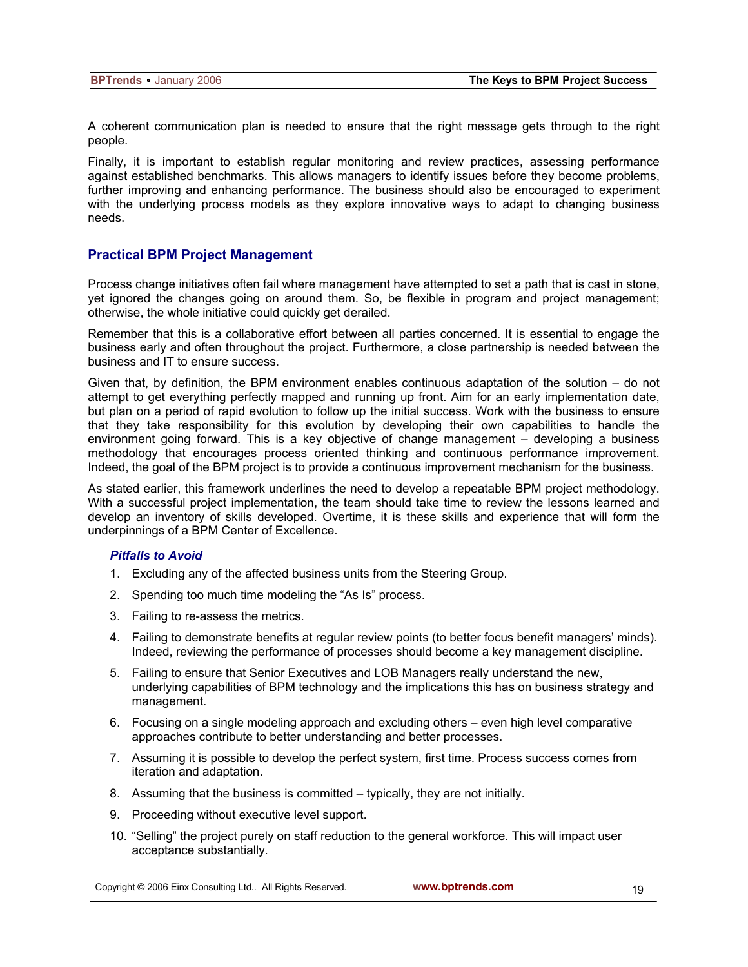A coherent communication plan is needed to ensure that the right message gets through to the right people.

Finally, it is important to establish regular monitoring and review practices, assessing performance against established benchmarks. This allows managers to identify issues before they become problems, further improving and enhancing performance. The business should also be encouraged to experiment with the underlying process models as they explore innovative ways to adapt to changing business needs.

## **Practical BPM Project Management**

Process change initiatives often fail where management have attempted to set a path that is cast in stone, yet ignored the changes going on around them. So, be flexible in program and project management; otherwise, the whole initiative could quickly get derailed.

Remember that this is a collaborative effort between all parties concerned. It is essential to engage the business early and often throughout the project. Furthermore, a close partnership is needed between the business and IT to ensure success.

Given that, by definition, the BPM environment enables continuous adaptation of the solution – do not attempt to get everything perfectly mapped and running up front. Aim for an early implementation date, but plan on a period of rapid evolution to follow up the initial success. Work with the business to ensure that they take responsibility for this evolution by developing their own capabilities to handle the environment going forward. This is a key objective of change management – developing a business methodology that encourages process oriented thinking and continuous performance improvement. Indeed, the goal of the BPM project is to provide a continuous improvement mechanism for the business.

As stated earlier, this framework underlines the need to develop a repeatable BPM project methodology. With a successful project implementation, the team should take time to review the lessons learned and develop an inventory of skills developed. Overtime, it is these skills and experience that will form the underpinnings of a BPM Center of Excellence.

#### *Pitfalls to Avoid*

- 1. Excluding any of the affected business units from the Steering Group.
- 2. Spending too much time modeling the "As Is" process.
- 3. Failing to re-assess the metrics.
- 4. Failing to demonstrate benefits at regular review points (to better focus benefit managers' minds). Indeed, reviewing the performance of processes should become a key management discipline.
- 5. Failing to ensure that Senior Executives and LOB Managers really understand the new, underlying capabilities of BPM technology and the implications this has on business strategy and management.
- 6. Focusing on a single modeling approach and excluding others even high level comparative approaches contribute to better understanding and better processes.
- 7. Assuming it is possible to develop the perfect system, first time. Process success comes from iteration and adaptation.
- 8. Assuming that the business is committed typically, they are not initially.
- 9. Proceeding without executive level support.
- 10. "Selling" the project purely on staff reduction to the general workforce. This will impact user acceptance substantially.